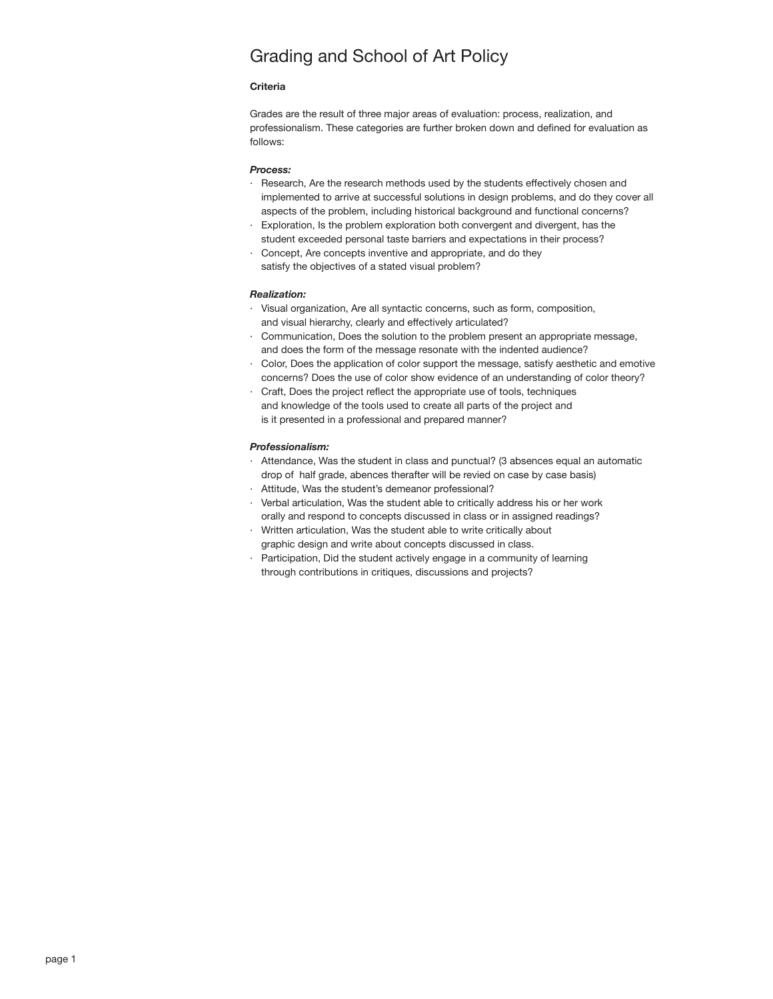# Grading and School of Art Policy

# **Criteria**

Grades are the result of three major areas of evaluation: process, realization, and professionalism. These categories are further broken down and defined for evaluation as follows:

### *Process:*

- · Research, Are the research methods used by the students effectively chosen and implemented to arrive at successful solutions in design problems, and do they cover all aspects of the problem, including historical background and functional concerns?
- Exploration, Is the problem exploration both convergent and divergent, has the student exceeded personal taste barriers and expectations in their process?
- Concept, Are concepts inventive and appropriate, and do they satisfy the objectives of a stated visual problem?

# *Realization:*

- · Visual organization, Are all syntactic concerns, such as form, composition, and visual hierarchy, clearly and effectively articulated?
- · Communication, Does the solution to the problem present an appropriate message, and does the form of the message resonate with the indented audience?
- · Color, Does the application of color support the message, satisfy aesthetic and emotive concerns? Does the use of color show evidence of an understanding of color theory?
- · Craft, Does the project reflect the appropriate use of tools, techniques and knowledge of the tools used to create all parts of the project and is it presented in a professional and prepared manner?

### *Professionalism:*

- · Attendance, Was the student in class and punctual? (3 absences equal an automatic drop of half grade, abences therafter will be revied on case by case basis)
- · Attitude, Was the student's demeanor professional?
- · Verbal articulation, Was the student able to critically address his or her work orally and respond to concepts discussed in class or in assigned readings?
- · Written articulation, Was the student able to write critically about graphic design and write about concepts discussed in class.
- Participation, Did the student actively engage in a community of learning through contributions in critiques, discussions and projects?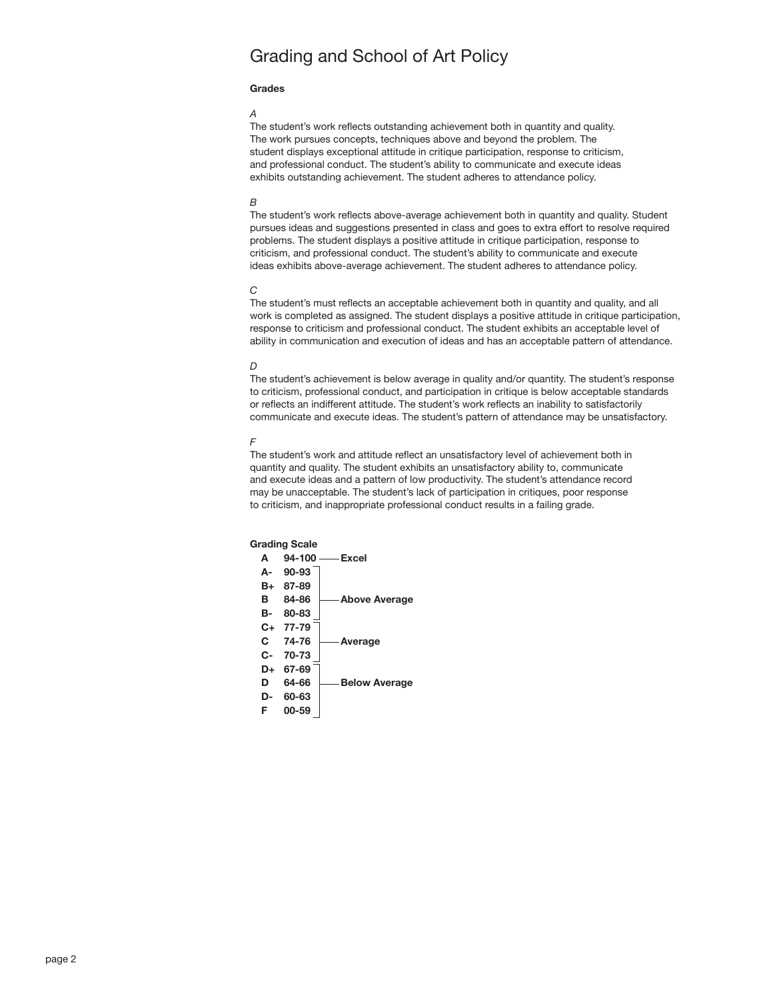# Grading and School of Art Policy

## **Grades**

#### *A*

The student's work reflects outstanding achievement both in quantity and quality. The work pursues concepts, techniques above and beyond the problem. The student displays exceptional attitude in critique participation, response to criticism, and professional conduct. The student's ability to communicate and execute ideas exhibits outstanding achievement. The student adheres to attendance policy.

### *B*

The student's work reflects above-average achievement both in quantity and quality. Student pursues ideas and suggestions presented in class and goes to extra effort to resolve required problems. The student displays a positive attitude in critique participation, response to criticism, and professional conduct. The student's ability to communicate and execute ideas exhibits above-average achievement. The student adheres to attendance policy.

# *C*

The student's must reflects an acceptable achievement both in quantity and quality, and all work is completed as assigned. The student displays a positive attitude in critique participation, response to criticism and professional conduct. The student exhibits an acceptable level of ability in communication and execution of ideas and has an acceptable pattern of attendance.

## *D*

The student's achievement is below average in quality and/or quantity. The student's response to criticism, professional conduct, and participation in critique is below acceptable standards or reflects an indifferent attitude. The student's work reflects an inability to satisfactorily communicate and execute ideas. The student's pattern of attendance may be unsatisfactory.

#### *F*

The student's work and attitude reflect an unsatisfactory level of achievement both in quantity and quality. The student exhibits an unsatisfactory ability to, communicate and execute ideas and a pattern of low productivity. The student's attendance record may be unacceptable. The student's lack of participation in critiques, poor response to criticism, and inappropriate professional conduct results in a failing grade.

# **Grading Scale**

| A  | 94-100    | -Excel               |
|----|-----------|----------------------|
| А- | 90-93     |                      |
| B+ | 87-89     |                      |
| в  | 84-86     | <b>Above Average</b> |
| в- | 80-83     |                      |
| C+ | 77-79     |                      |
| C. | 74-76     | <b>Average</b>       |
| C- | 70-73     |                      |
| D+ | 67-69     |                      |
| D  | 64-66     | <b>Below Average</b> |
| D- | 60-63     |                      |
| F  | $00 - 59$ |                      |